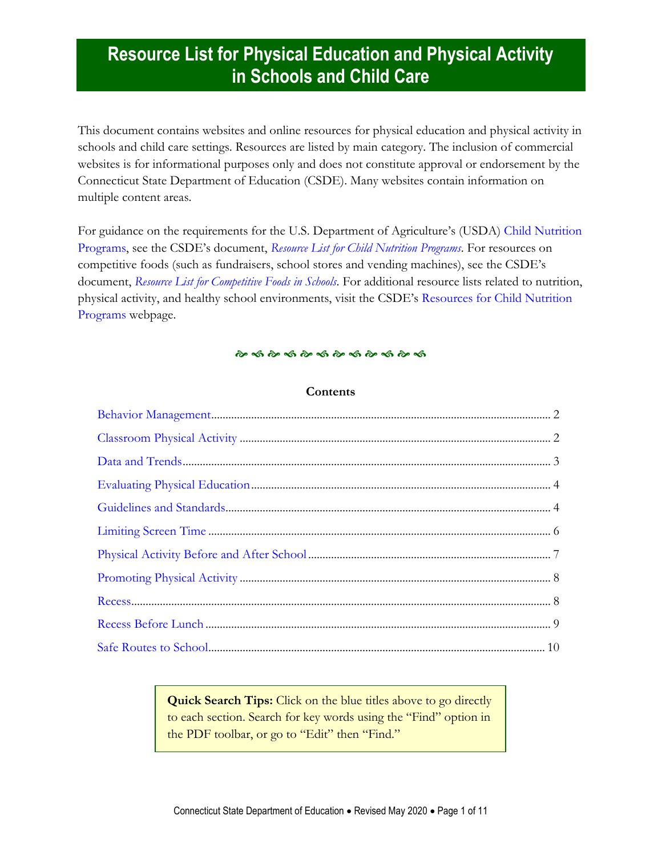This document contains websites and online resources for physical education and physical activity in schools and child care settings. Resources are listed by main category. The inclusion of commercial websites is for informational purposes only and does not constitute approval or endorsement by the Connecticut State Department of Education (CSDE). Many websites contain information on multiple content areas.

For guidance on the requirements for the U.S. Department of Agriculture's (USDA) [Child Nutrition](https://portal.ct.gov/SDE/Nutrition/Child-Nutrition-Programs)  [Programs](https://portal.ct.gov/SDE/Nutrition/Child-Nutrition-Programs), see the CSDE's document, *[Resource List for Child Nutrition Programs](https://portal.ct.gov/-/media/SDE/Nutrition/Resources/ResourcesChildNutritionPrograms.pdf)*. For resources on competitive foods (such as fundraisers, school stores and vending machines), see the CSDE's document, *[Resource List for Competitive Foods in Schools](https://portal.ct.gov/-/media/SDE/Nutrition/Resources/ResourcesCompetitiveFoods.pdf)*. For additional resource lists related to nutrition, physical activity, and healthy school environments, visit the CSDE's [Resources for Child Nutrition](https://portal.ct.gov/SDE/Nutrition/Resources-for-Child-Nutrition-Programs)  [Programs](https://portal.ct.gov/SDE/Nutrition/Resources-for-Child-Nutrition-Programs) webpage.

#### <u>స్థాన స్థాన స్థాన స్థాన స్థాన స్థాన</u>

### **Contents**

**Quick Search Tips:** Click on the blue titles above to go directly to each section. Search for key words using the "Find" option in the PDF toolbar, or go to "Edit" then "Find."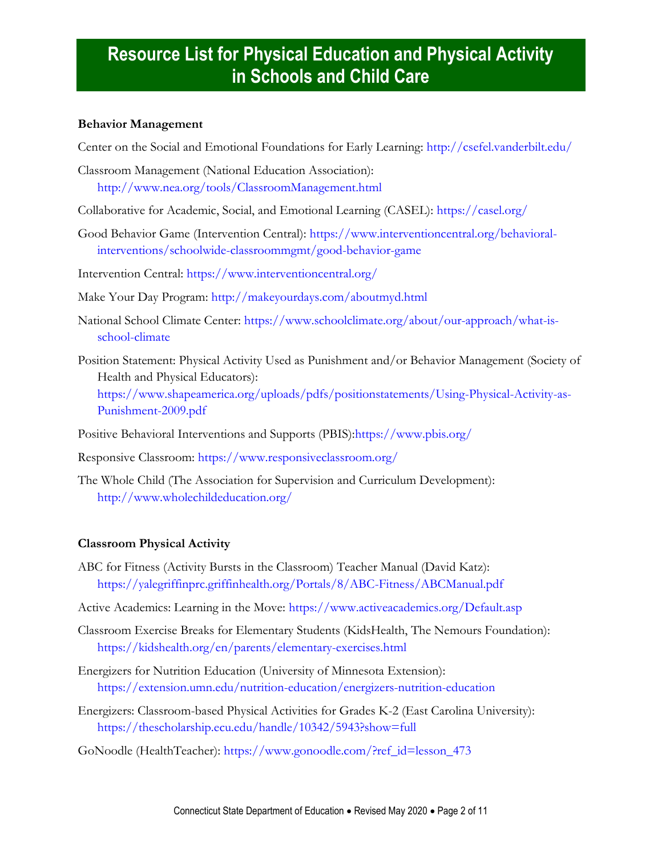### **Behavior Management**

Center on the Social and Emotional Foundations for Early Learning: <http://csefel.vanderbilt.edu/>

- Classroom Management (National Education Association): <http://www.nea.org/tools/ClassroomManagement.html>
- Collaborative for Academic, Social, and Emotional Learning (CASEL):<https://casel.org/>
- Good Behavior Game (Intervention Central): [https://www.interventioncentral.org/behavioral](https://www.interventioncentral.org/behavioral-interventions/schoolwide-classroommgmt/good-behavior-game)[interventions/schoolwide-classroommgmt/good-behavior-game](https://www.interventioncentral.org/behavioral-interventions/schoolwide-classroommgmt/good-behavior-game)
- Intervention Central:<https://www.interventioncentral.org/>
- Make Your Day Program: <http://makeyourdays.com/aboutmyd.html>
- National School Climate Center: [https://www.schoolclimate.org/about/our-approach/what-is](https://www.schoolclimate.org/about/our-approach/what-is-school-climate)[school-climate](https://www.schoolclimate.org/about/our-approach/what-is-school-climate)
- Position Statement: Physical Activity Used as Punishment and/or Behavior Management (Society of Health and Physical Educators):

[https://www.shapeamerica.org/uploads/pdfs/positionstatements/Using-Physical-Activity-as-](https://www.shapeamerica.org/uploads/pdfs/positionstatements/Using-Physical-Activity-as-Punishment-2009.pdf)[Punishment-2009.pdf](https://www.shapeamerica.org/uploads/pdfs/positionstatements/Using-Physical-Activity-as-Punishment-2009.pdf)

Positive Behavioral Interventions and Supports (PBIS)[:https://www.pbis.org/](https://www.pbis.org/)

Responsive Classroom:<https://www.responsiveclassroom.org/>

The Whole Child (The Association for Supervision and Curriculum Development): <http://www.wholechildeducation.org/>

### <span id="page-1-0"></span>**Classroom Physical Activity**

- ABC for Fitness (Activity Bursts in the Classroom) Teacher Manual (David Katz): <https://yalegriffinprc.griffinhealth.org/Portals/8/ABC-Fitness/ABCManual.pdf>
- Active Academics: Learning in the Move:<https://www.activeacademics.org/Default.asp>
- Classroom Exercise Breaks for Elementary Students (KidsHealth, The Nemours Foundation): <https://kidshealth.org/en/parents/elementary-exercises.html>
- Energizers for Nutrition Education (University of Minnesota Extension): <https://extension.umn.edu/nutrition-education/energizers-nutrition-education>
- Energizers: Classroom-based Physical Activities for Grades K-2 (East Carolina University): <https://thescholarship.ecu.edu/handle/10342/5943?show=full>

GoNoodle (HealthTeacher): [https://www.gonoodle.com/?ref\\_id=lesson\\_473](https://www.gonoodle.com/?ref_id=lesson_473)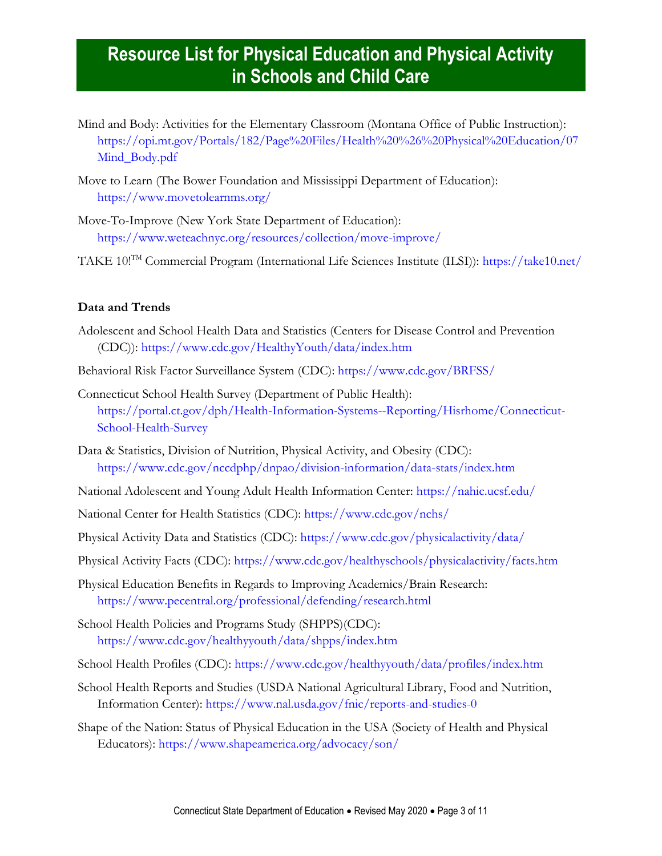- Mind and Body: Activities for the Elementary Classroom (Montana Office of Public Instruction): [https://opi.mt.gov/Portals/182/Page%20Files/Health%20%26%20Physical%20Education/07](https://opi.mt.gov/Portals/182/Page%20Files/Health%20%26%20Physical%20Education/07Mind_Body.pdf) [Mind\\_Body.pdf](https://opi.mt.gov/Portals/182/Page%20Files/Health%20%26%20Physical%20Education/07Mind_Body.pdf)
- Move to Learn (The Bower Foundation and Mississippi Department of Education): <https://www.movetolearnms.org/>
- Move-To-Improve (New York State Department of Education): <https://www.weteachnyc.org/resources/collection/move-improve/>
- TAKE 10!TM Commercial Program (International Life Sciences Institute (ILSI)):<https://take10.net/>

#### <span id="page-2-0"></span>**Data and Trends**

- Adolescent and School Health Data and Statistics (Centers for Disease Control and Prevention (CDC)):<https://www.cdc.gov/HealthyYouth/data/index.htm>
- Behavioral Risk Factor Surveillance System (CDC):<https://www.cdc.gov/BRFSS/>
- Connecticut School Health Survey (Department of Public Health): [https://portal.ct.gov/dph/Health-Information-Systems--Reporting/Hisrhome/Connecticut-](https://portal.ct.gov/dph/Health-Information-Systems--Reporting/Hisrhome/Connecticut-School-Health-Survey)[School-Health-Survey](https://portal.ct.gov/dph/Health-Information-Systems--Reporting/Hisrhome/Connecticut-School-Health-Survey)
- Data & Statistics, Division of Nutrition, Physical Activity, and Obesity (CDC): <https://www.cdc.gov/nccdphp/dnpao/division-information/data-stats/index.htm>
- National Adolescent and Young Adult Health Information Center:<https://nahic.ucsf.edu/>
- National Center for Health Statistics (CDC):<https://www.cdc.gov/nchs/>
- Physical Activity Data and Statistics (CDC):<https://www.cdc.gov/physicalactivity/data/>
- Physical Activity Facts (CDC):<https://www.cdc.gov/healthyschools/physicalactivity/facts.htm>
- Physical Education Benefits in Regards to Improving Academics/Brain Research: <https://www.pecentral.org/professional/defending/research.html>
- School Health Policies and Programs Study (SHPPS)(CDC): <https://www.cdc.gov/healthyyouth/data/shpps/index.htm>
- School Health Profiles (CDC):<https://www.cdc.gov/healthyyouth/data/profiles/index.htm>
- School Health Reports and Studies (USDA National Agricultural Library, Food and Nutrition, Information Center):<https://www.nal.usda.gov/fnic/reports-and-studies-0>
- Shape of the Nation: Status of Physical Education in the USA (Society of Health and Physical Educators): <https://www.shapeamerica.org/advocacy/son/>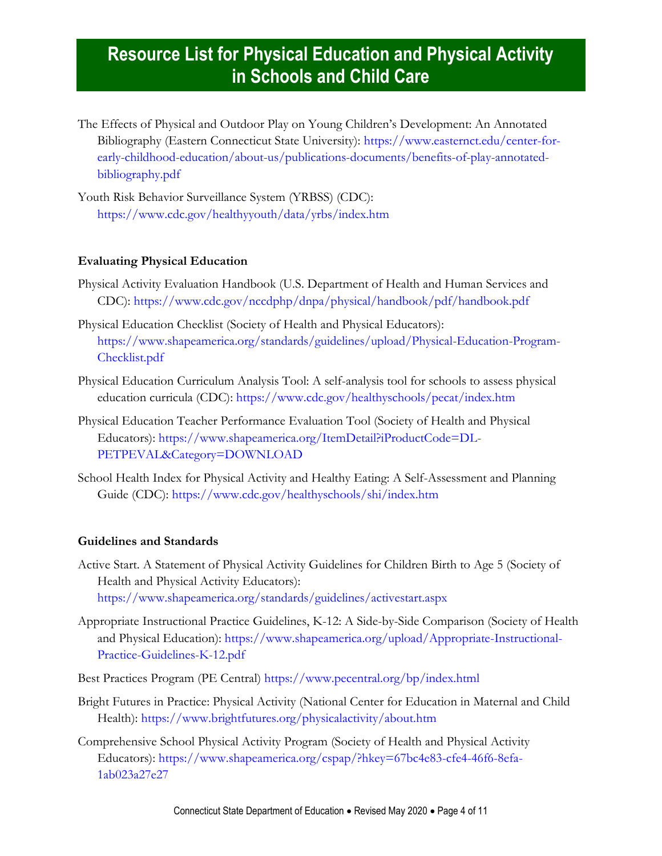The Effects of Physical and Outdoor Play on Young Children's Development: An Annotated Bibliography (Eastern Connecticut State University): [https://www.easternct.edu/center-for](https://www.easternct.edu/center-for-early-childhood-education/about-us/publications-documents/benefits-of-play-annotated-bibliography.pdf)[early-childhood-education/about-us/publications-documents/benefits-of-play-annotated](https://www.easternct.edu/center-for-early-childhood-education/about-us/publications-documents/benefits-of-play-annotated-bibliography.pdf)[bibliography.pdf](https://www.easternct.edu/center-for-early-childhood-education/about-us/publications-documents/benefits-of-play-annotated-bibliography.pdf)

Youth Risk Behavior Surveillance System (YRBSS) (CDC): <https://www.cdc.gov/healthyyouth/data/yrbs/index.htm>

### <span id="page-3-0"></span>**Evaluating Physical Education**

- Physical Activity Evaluation Handbook (U.S. Department of Health and Human Services and CDC): <https://www.cdc.gov/nccdphp/dnpa/physical/handbook/pdf/handbook.pdf>
- Physical Education Checklist (Society of Health and Physical Educators): [https://www.shapeamerica.org/standards/guidelines/upload/Physical-Education-Program-](https://www.shapeamerica.org/standards/guidelines/upload/Physical-Education-Program-Checklist.pdf)[Checklist.pdf](https://www.shapeamerica.org/standards/guidelines/upload/Physical-Education-Program-Checklist.pdf)
- Physical Education Curriculum Analysis Tool: A self-analysis tool for schools to assess physical education curricula (CDC):<https://www.cdc.gov/healthyschools/pecat/index.htm>
- Physical Education Teacher Performance Evaluation Tool (Society of Health and Physical Educators): [https://www.shapeamerica.org/ItemDetail?iProductCode=DL-](https://www.shapeamerica.org/ItemDetail?iProductCode=DL-PETPEVAL&Category=DOWNLOAD)[PETPEVAL&Category=DOWNLOAD](https://www.shapeamerica.org/ItemDetail?iProductCode=DL-PETPEVAL&Category=DOWNLOAD)
- School Health Index for Physical Activity and Healthy Eating: A Self-Assessment and Planning Guide (CDC): <https://www.cdc.gov/healthyschools/shi/index.htm>

#### <span id="page-3-1"></span>**Guidelines and Standards**

- Active Start. A Statement of Physical Activity Guidelines for Children Birth to Age 5 (Society of Health and Physical Activity Educators): <https://www.shapeamerica.org/standards/guidelines/activestart.aspx>
- Appropriate Instructional Practice Guidelines, K-12: A Side-by-Side Comparison (Society of Health and Physical Education): [https://www.shapeamerica.org/upload/Appropriate-Instructional-](https://www.shapeamerica.org/upload/Appropriate-Instructional-Practice-Guidelines-K-12.pdf)[Practice-Guidelines-K-12.pdf](https://www.shapeamerica.org/upload/Appropriate-Instructional-Practice-Guidelines-K-12.pdf)
- Best Practices Program (PE Central)<https://www.pecentral.org/bp/index.html>
- Bright Futures in Practice: Physical Activity (National Center for Education in Maternal and Child Health): <https://www.brightfutures.org/physicalactivity/about.htm>
- Comprehensive School Physical Activity Program (Society of Health and Physical Activity Educators): [https://www.shapeamerica.org/cspap/?hkey=67bc4e83-cfe4-46f6-8efa-](https://www.shapeamerica.org/cspap/?hkey=67bc4e83-cfe4-46f6-8efa-1ab023a27e27)[1ab023a27e27](https://www.shapeamerica.org/cspap/?hkey=67bc4e83-cfe4-46f6-8efa-1ab023a27e27)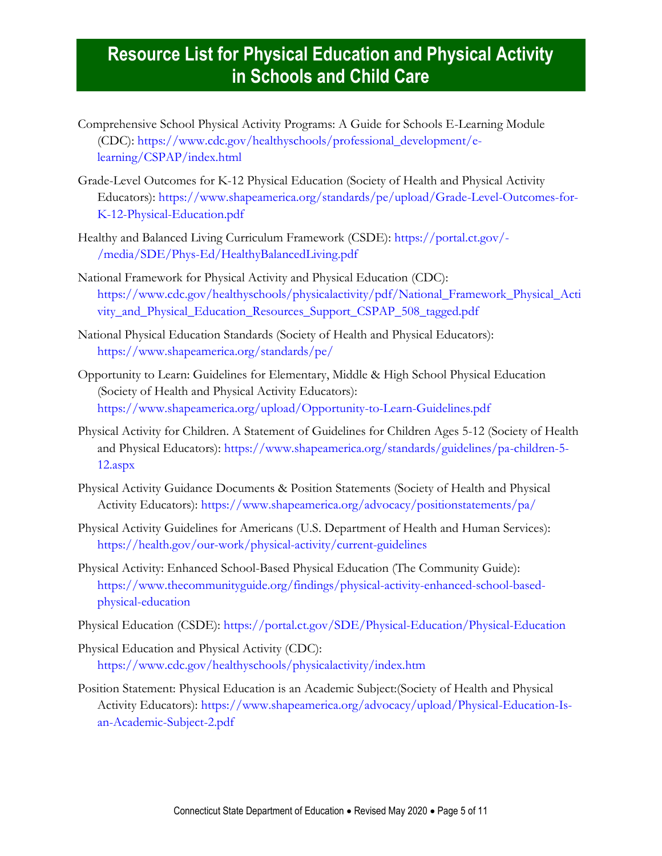- Comprehensive School Physical Activity Programs: A Guide for Schools E-Learning Module (CDC): [https://www.cdc.gov/healthyschools/professional\\_development/e](https://www.cdc.gov/healthyschools/professional_development/e-learning/CSPAP/index.html)[learning/CSPAP/index.html](https://www.cdc.gov/healthyschools/professional_development/e-learning/CSPAP/index.html)
- Grade-Level Outcomes for K-12 Physical Education (Society of Health and Physical Activity Educators): [https://www.shapeamerica.org/standards/pe/upload/Grade-Level-Outcomes-for-](https://www.shapeamerica.org/standards/pe/upload/Grade-Level-Outcomes-for-K-12-Physical-Education.pdf)[K-12-Physical-Education.pdf](https://www.shapeamerica.org/standards/pe/upload/Grade-Level-Outcomes-for-K-12-Physical-Education.pdf)
- Healthy and Balanced Living Curriculum Framework (CSDE): [https://portal.ct.gov/-](https://portal.ct.gov/-/media/SDE/Phys-Ed/HealthyBalancedLiving.pdf) [/media/SDE/Phys-Ed/HealthyBalancedLiving.pdf](https://portal.ct.gov/-/media/SDE/Phys-Ed/HealthyBalancedLiving.pdf)
- National Framework for Physical Activity and Physical Education (CDC): [https://www.cdc.gov/healthyschools/physicalactivity/pdf/National\\_Framework\\_Physical\\_Acti](https://www.cdc.gov/healthyschools/physicalactivity/pdf/National_Framework_Physical_Activity_and_Physical_Education_Resources_Support_CSPAP_508_tagged.pdf) [vity\\_and\\_Physical\\_Education\\_Resources\\_Support\\_CSPAP\\_508\\_tagged.pdf](https://www.cdc.gov/healthyschools/physicalactivity/pdf/National_Framework_Physical_Activity_and_Physical_Education_Resources_Support_CSPAP_508_tagged.pdf)
- National Physical Education Standards (Society of Health and Physical Educators): <https://www.shapeamerica.org/standards/pe/>
- Opportunity to Learn: Guidelines for Elementary, Middle & High School Physical Education (Society of Health and Physical Activity Educators): <https://www.shapeamerica.org/upload/Opportunity-to-Learn-Guidelines.pdf>
- Physical Activity for Children. A Statement of Guidelines for Children Ages 5-12 (Society of Health and Physical Educators): [https://www.shapeamerica.org/standards/guidelines/pa-children-5-](https://www.shapeamerica.org/standards/guidelines/pa-children-5-12.aspx) [12.aspx](https://www.shapeamerica.org/standards/guidelines/pa-children-5-12.aspx)
- Physical Activity Guidance Documents & Position Statements (Society of Health and Physical Activity Educators): <https://www.shapeamerica.org/advocacy/positionstatements/pa/>
- Physical Activity Guidelines for Americans (U.S. Department of Health and Human Services): <https://health.gov/our-work/physical-activity/current-guidelines>
- Physical Activity: Enhanced School-Based Physical Education (The Community Guide): [https://www.thecommunityguide.org/findings/physical-activity-enhanced-school-based](https://www.thecommunityguide.org/findings/physical-activity-enhanced-school-based-physical-education)[physical-education](https://www.thecommunityguide.org/findings/physical-activity-enhanced-school-based-physical-education)
- Physical Education (CSDE): <https://portal.ct.gov/SDE/Physical-Education/Physical-Education>
- Physical Education and Physical Activity (CDC): <https://www.cdc.gov/healthyschools/physicalactivity/index.htm>
- Position Statement: Physical Education is an Academic Subject:(Society of Health and Physical Activity Educators): [https://www.shapeamerica.org/advocacy/upload/Physical-Education-Is](https://www.shapeamerica.org/advocacy/upload/Physical-Education-Is-an-Academic-Subject-2.pdf)[an-Academic-Subject-2.pdf](https://www.shapeamerica.org/advocacy/upload/Physical-Education-Is-an-Academic-Subject-2.pdf)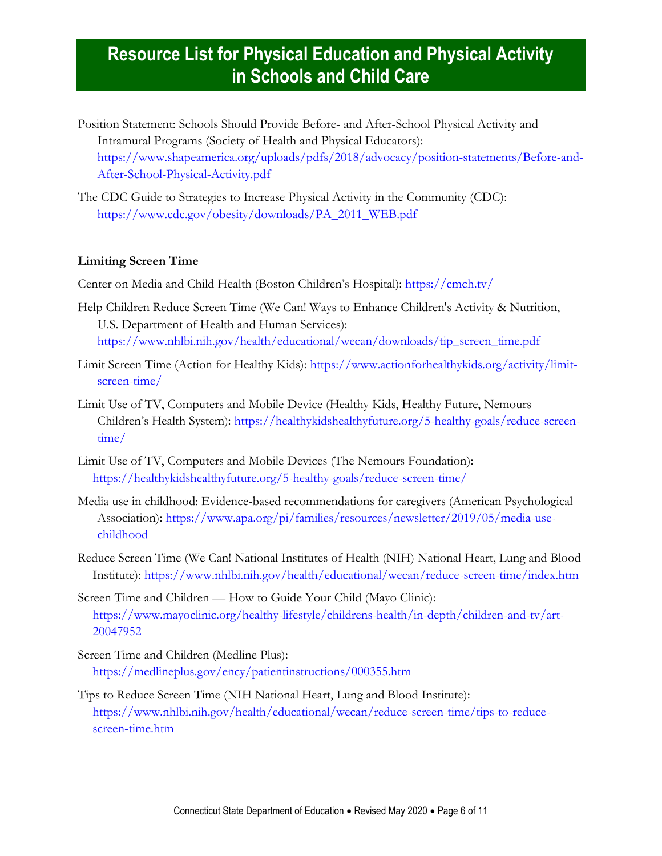- Position Statement: Schools Should Provide Before- and After-School Physical Activity and Intramural Programs (Society of Health and Physical Educators): [https://www.shapeamerica.org/uploads/pdfs/2018/advocacy/position-statements/Before-and-](https://www.shapeamerica.org/uploads/pdfs/2018/advocacy/position-statements/Before-and-After-School-Physical-Activity.pdf)[After-School-Physical-Activity.pdf](https://www.shapeamerica.org/uploads/pdfs/2018/advocacy/position-statements/Before-and-After-School-Physical-Activity.pdf)
- The CDC Guide to Strategies to Increase Physical Activity in the Community (CDC): [https://www.cdc.gov/obesity/downloads/PA\\_2011\\_WEB.pdf](https://www.cdc.gov/obesity/downloads/PA_2011_WEB.pdf)

### <span id="page-5-0"></span>**Limiting Screen Time**

Center on Media and Child Health (Boston Children's Hospital): <https://cmch.tv/>

- Help Children Reduce Screen Time (We Can! Ways to Enhance Children's Activity & Nutrition, U.S. Department of Health and Human Services): [https://www.nhlbi.nih.gov/health/educational/wecan/downloads/tip\\_screen\\_time.pdf](https://www.nhlbi.nih.gov/health/educational/wecan/downloads/tip_screen_time.pdf)
- Limit Screen Time (Action for Healthy Kids): [https://www.actionforhealthykids.org/activity/limit](https://www.actionforhealthykids.org/activity/limit-screen-time/)[screen-time/](https://www.actionforhealthykids.org/activity/limit-screen-time/)
- Limit Use of TV, Computers and Mobile Device (Healthy Kids, Healthy Future, Nemours Children's Health System): [https://healthykidshealthyfuture.org/5-healthy-goals/reduce-screen](https://healthykidshealthyfuture.org/5-healthy-goals/reduce-screen-time/)[time/](https://healthykidshealthyfuture.org/5-healthy-goals/reduce-screen-time/)
- Limit Use of TV, Computers and Mobile Devices (The Nemours Foundation): <https://healthykidshealthyfuture.org/5-healthy-goals/reduce-screen-time/>
- Media use in childhood: Evidence-based recommendations for caregivers (American Psychological Association): [https://www.apa.org/pi/families/resources/newsletter/2019/05/media-use](https://www.apa.org/pi/families/resources/newsletter/2019/05/media-use-childhood)[childhood](https://www.apa.org/pi/families/resources/newsletter/2019/05/media-use-childhood)
- Reduce Screen Time (We Can! National Institutes of Health (NIH) National Heart, Lung and Blood Institute): <https://www.nhlbi.nih.gov/health/educational/wecan/reduce-screen-time/index.htm>
- Screen Time and Children How to Guide Your Child (Mayo Clinic): [https://www.mayoclinic.org/healthy-lifestyle/childrens-health/in-depth/children-and-tv/art-](https://www.mayoclinic.org/healthy-lifestyle/childrens-health/in-depth/children-and-tv/art-20047952)[20047952](https://www.mayoclinic.org/healthy-lifestyle/childrens-health/in-depth/children-and-tv/art-20047952)
- Screen Time and Children (Medline Plus): <https://medlineplus.gov/ency/patientinstructions/000355.htm>
- <span id="page-5-1"></span>Tips to Reduce Screen Time (NIH National Heart, Lung and Blood Institute): [https://www.nhlbi.nih.gov/health/educational/wecan/reduce-screen-time/tips-to-reduce](https://www.nhlbi.nih.gov/health/educational/wecan/reduce-screen-time/tips-to-reduce-screen-time.htm)[screen-time.htm](https://www.nhlbi.nih.gov/health/educational/wecan/reduce-screen-time/tips-to-reduce-screen-time.htm)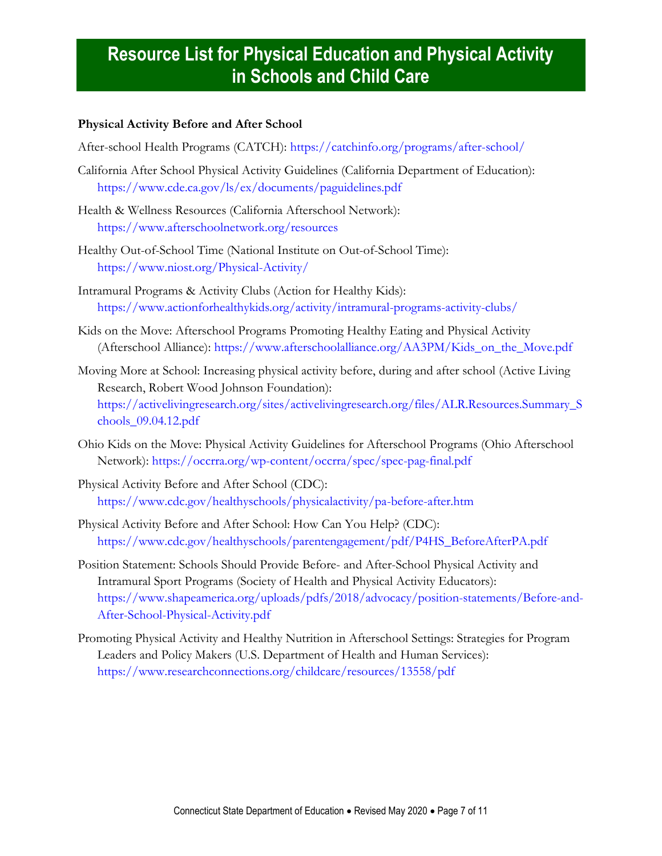### **Physical Activity Before and After School**

After-school Health Programs (CATCH):<https://catchinfo.org/programs/after-school/>

- California After School Physical Activity Guidelines (California Department of Education): <https://www.cde.ca.gov/ls/ex/documents/paguidelines.pdf>
- Health & Wellness Resources (California Afterschool Network): <https://www.afterschoolnetwork.org/resources>
- Healthy Out-of-School Time (National Institute on Out-of-School Time): <https://www.niost.org/Physical-Activity/>
- Intramural Programs & Activity Clubs (Action for Healthy Kids): <https://www.actionforhealthykids.org/activity/intramural-programs-activity-clubs/>
- Kids on the Move: Afterschool Programs Promoting Healthy Eating and Physical Activity (Afterschool Alliance): [https://www.afterschoolalliance.org/AA3PM/Kids\\_on\\_the\\_Move.pdf](https://www.afterschoolalliance.org/AA3PM/Kids_on_the_Move.pdf)
- Moving More at School: Increasing physical activity before, during and after school (Active Living Research, Robert Wood Johnson Foundation): [https://activelivingresearch.org/sites/activelivingresearch.org/files/ALR.Resources.Summary\\_S](https://activelivingresearch.org/sites/activelivingresearch.org/files/ALR.Resources.Summary_Schools_09.04.12.pdf) [chools\\_09.04.12.pdf](https://activelivingresearch.org/sites/activelivingresearch.org/files/ALR.Resources.Summary_Schools_09.04.12.pdf)
- Ohio Kids on the Move: Physical Activity Guidelines for Afterschool Programs (Ohio Afterschool Network):<https://occrra.org/wp-content/occrra/spec/spec-pag-final.pdf>
- Physical Activity Before and After School (CDC): <https://www.cdc.gov/healthyschools/physicalactivity/pa-before-after.htm>
- Physical Activity Before and After School: How Can You Help? (CDC): [https://www.cdc.gov/healthyschools/parentengagement/pdf/P4HS\\_BeforeAfterPA.pdf](https://www.cdc.gov/healthyschools/parentengagement/pdf/P4HS_BeforeAfterPA.pdf)
- Position Statement: Schools Should Provide Before- and After-School Physical Activity and Intramural Sport Programs (Society of Health and Physical Activity Educators): [https://www.shapeamerica.org/uploads/pdfs/2018/advocacy/position-statements/Before-and-](https://www.shapeamerica.org/uploads/pdfs/2018/advocacy/position-statements/Before-and-After-School-Physical-Activity.pdf)[After-School-Physical-Activity.pdf](https://www.shapeamerica.org/uploads/pdfs/2018/advocacy/position-statements/Before-and-After-School-Physical-Activity.pdf)
- <span id="page-6-0"></span>Promoting Physical Activity and Healthy Nutrition in Afterschool Settings: Strategies for Program Leaders and Policy Makers (U.S. Department of Health and Human Services): <https://www.researchconnections.org/childcare/resources/13558/pdf>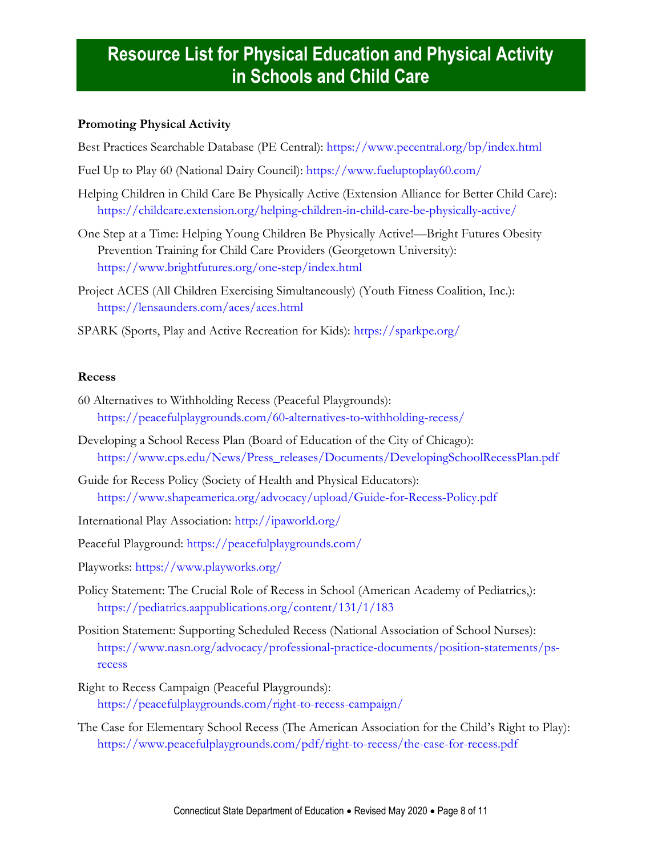### **Promoting Physical Activity**

Best Practices Searchable Database (PE Central): <https://www.pecentral.org/bp/index.html>

- Fuel Up to Play 60 (National Dairy Council): <https://www.fueluptoplay60.com/>
- Helping Children in Child Care Be Physically Active (Extension Alliance for Better Child Care): <https://childcare.extension.org/helping-children-in-child-care-be-physically-active/>
- One Step at a Time: Helping Young Children Be Physically Active!—Bright Futures Obesity Prevention Training for Child Care Providers (Georgetown University): <https://www.brightfutures.org/one-step/index.html>
- Project ACES (All Children Exercising Simultaneously) (Youth Fitness Coalition, Inc.): <https://lensaunders.com/aces/aces.html>
- SPARK (Sports, Play and Active Recreation for Kids):<https://sparkpe.org/>

#### <span id="page-7-0"></span>**Recess**

- 60 Alternatives to Withholding Recess (Peaceful Playgrounds): <https://peacefulplaygrounds.com/60-alternatives-to-withholding-recess/>
- Developing a School Recess Plan (Board of Education of the City of Chicago): [https://www.cps.edu/News/Press\\_releases/Documents/DevelopingSchoolRecessPlan.pdf](https://www.cps.edu/News/Press_releases/Documents/DevelopingSchoolRecessPlan.pdf)
- Guide for Recess Policy (Society of Health and Physical Educators): <https://www.shapeamerica.org/advocacy/upload/Guide-for-Recess-Policy.pdf>
- International Play Association:<http://ipaworld.org/>
- Peaceful Playground:<https://peacefulplaygrounds.com/>
- Playworks:<https://www.playworks.org/>
- Policy Statement: The Crucial Role of Recess in School (American Academy of Pediatrics,): <https://pediatrics.aappublications.org/content/131/1/183>
- Position Statement: Supporting Scheduled Recess (National Association of School Nurses): [https://www.nasn.org/advocacy/professional-practice-documents/position-statements/ps](https://www.nasn.org/advocacy/professional-practice-documents/position-statements/ps-recess)[recess](https://www.nasn.org/advocacy/professional-practice-documents/position-statements/ps-recess)
- Right to Recess Campaign (Peaceful Playgrounds): <https://peacefulplaygrounds.com/right-to-recess-campaign/>
- [The Case for Elementary School Recess](http://www.ipausa.org/recesshandbook.htm) (The American Association for the Child's Right to Play): <https://www.peacefulplaygrounds.com/pdf/right-to-recess/the-case-for-recess.pdf>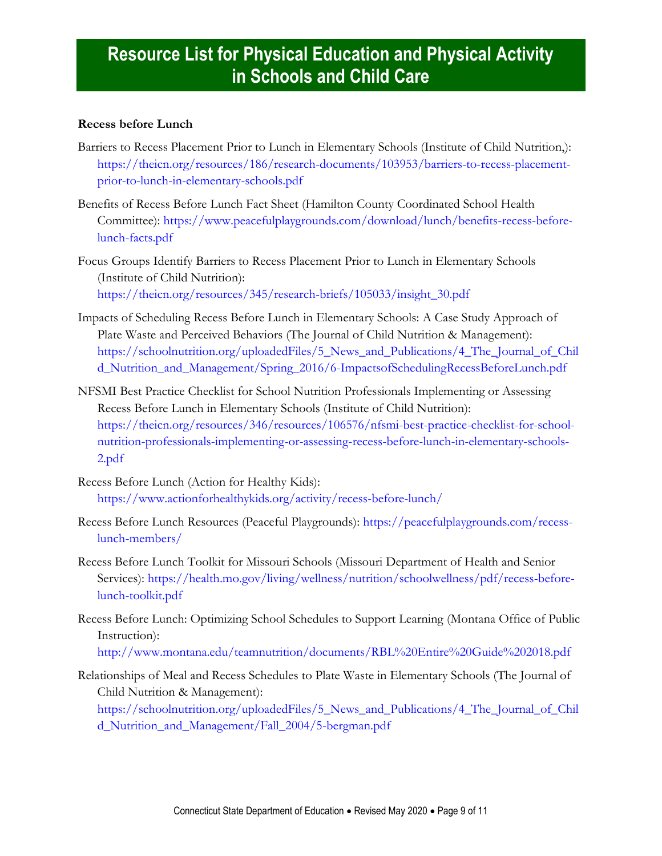### <span id="page-8-0"></span>**Recess before Lunch**

- Barriers to Recess Placement Prior to Lunch in Elementary Schools (Institute of Child Nutrition,): [https://theicn.org/resources/186/research-documents/103953/barriers-to-recess-placement](https://theicn.org/resources/186/research-documents/103953/barriers-to-recess-placement-prior-to-lunch-in-elementary-schools.pdf)[prior-to-lunch-in-elementary-schools.pdf](https://theicn.org/resources/186/research-documents/103953/barriers-to-recess-placement-prior-to-lunch-in-elementary-schools.pdf)
- Benefits of Recess Before Lunch Fact Sheet (Hamilton County Coordinated School Health Committee): [https://www.peacefulplaygrounds.com/download/lunch/benefits-recess-before](https://www.peacefulplaygrounds.com/download/lunch/benefits-recess-before-lunch-facts.pdf)[lunch-facts.pdf](https://www.peacefulplaygrounds.com/download/lunch/benefits-recess-before-lunch-facts.pdf)
- Focus Groups Identify Barriers to Recess Placement Prior to Lunch in Elementary Schools (Institute of Child Nutrition): [https://theicn.org/resources/345/research-briefs/105033/insight\\_30.pdf](https://theicn.org/resources/345/research-briefs/105033/insight_30.pdf)
- Impacts of Scheduling Recess Before Lunch in Elementary Schools: A Case Study Approach of Plate Waste and Perceived Behaviors (The Journal of Child Nutrition & Management): [https://schoolnutrition.org/uploadedFiles/5\\_News\\_and\\_Publications/4\\_The\\_Journal\\_of\\_Chil](https://schoolnutrition.org/uploadedFiles/5_News_and_Publications/4_The_Journal_of_Child_Nutrition_and_Management/Spring_2016/6-ImpactsofSchedulingRecessBeforeLunch.pdf) [d\\_Nutrition\\_and\\_Management/Spring\\_2016/6-ImpactsofSchedulingRecessBeforeLunch.pdf](https://schoolnutrition.org/uploadedFiles/5_News_and_Publications/4_The_Journal_of_Child_Nutrition_and_Management/Spring_2016/6-ImpactsofSchedulingRecessBeforeLunch.pdf)
- NFSMI Best Practice Checklist for School Nutrition Professionals Implementing or Assessing Recess Before Lunch in Elementary Schools (Institute of Child Nutrition): [https://theicn.org/resources/346/resources/106576/nfsmi-best-practice-checklist-for-school](https://theicn.org/resources/346/resources/106576/nfsmi-best-practice-checklist-for-school-nutrition-professionals-implementing-or-assessing-recess-before-lunch-in-elementary-schools-2.pdf)[nutrition-professionals-implementing-or-assessing-recess-before-lunch-in-elementary-schools-](https://theicn.org/resources/346/resources/106576/nfsmi-best-practice-checklist-for-school-nutrition-professionals-implementing-or-assessing-recess-before-lunch-in-elementary-schools-2.pdf)[2.pdf](https://theicn.org/resources/346/resources/106576/nfsmi-best-practice-checklist-for-school-nutrition-professionals-implementing-or-assessing-recess-before-lunch-in-elementary-schools-2.pdf)
- Recess Before Lunch (Action for Healthy Kids): <https://www.actionforhealthykids.org/activity/recess-before-lunch/>
- Recess Before Lunch Resources (Peaceful Playgrounds): [https://peacefulplaygrounds.com/recess](https://peacefulplaygrounds.com/recess-lunch-members/)[lunch-members/](https://peacefulplaygrounds.com/recess-lunch-members/)
- Recess Before Lunch Toolkit for Missouri Schools (Missouri Department of Health and Senior Services): [https://health.mo.gov/living/wellness/nutrition/schoolwellness/pdf/recess-before](https://health.mo.gov/living/wellness/nutrition/schoolwellness/pdf/recess-before-lunch-toolkit.pdf)[lunch-toolkit.pdf](https://health.mo.gov/living/wellness/nutrition/schoolwellness/pdf/recess-before-lunch-toolkit.pdf)
- Recess Before Lunch: Optimizing School Schedules to Support Learning (Montana Office of Public Instruction): <http://www.montana.edu/teamnutrition/documents/RBL%20Entire%20Guide%202018.pdf>
- Relationships of Meal and Recess Schedules to Plate Waste in Elementary Schools (The Journal of Child Nutrition & Management):

[https://schoolnutrition.org/uploadedFiles/5\\_News\\_and\\_Publications/4\\_The\\_Journal\\_of\\_Chil](https://schoolnutrition.org/uploadedFiles/5_News_and_Publications/4_The_Journal_of_Child_Nutrition_and_Management/Fall_2004/5-bergman.pdf) [d\\_Nutrition\\_and\\_Management/Fall\\_2004/5-bergman.pdf](https://schoolnutrition.org/uploadedFiles/5_News_and_Publications/4_The_Journal_of_Child_Nutrition_and_Management/Fall_2004/5-bergman.pdf)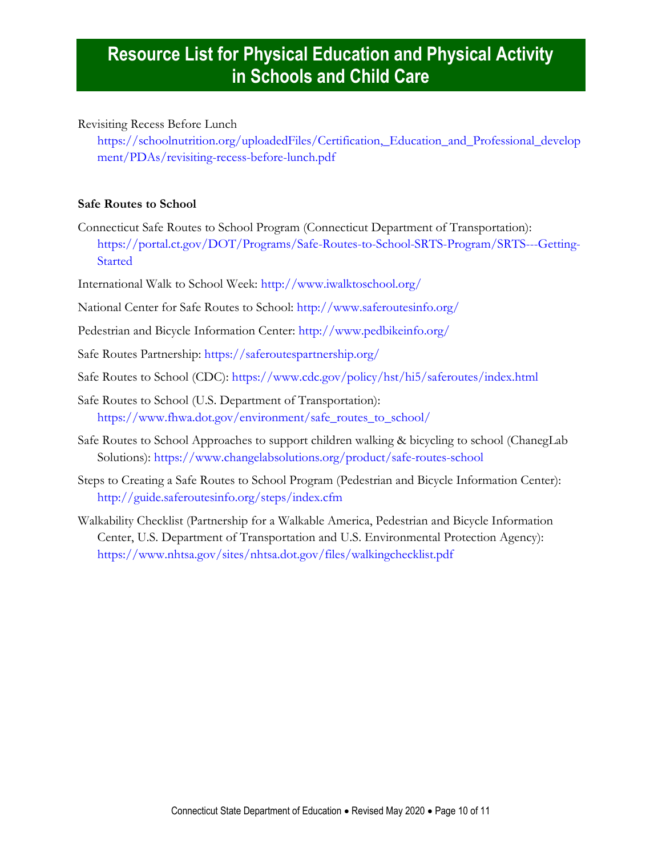Revisiting Recess Before Lunch

[https://schoolnutrition.org/uploadedFiles/Certification,\\_Education\\_and\\_Professional\\_develop](https://schoolnutrition.org/uploadedFiles/Certification,_Education_and_Professional_development/PDAs/revisiting-recess-before-lunch.pdf) [ment/PDAs/revisiting-recess-before-lunch.pdf](https://schoolnutrition.org/uploadedFiles/Certification,_Education_and_Professional_development/PDAs/revisiting-recess-before-lunch.pdf)

### <span id="page-9-0"></span>**Safe Routes to School**

- Connecticut Safe Routes to School Program (Connecticut Department of Transportation): [https://portal.ct.gov/DOT/Programs/Safe-Routes-to-School-SRTS-Program/SRTS---Getting-](https://portal.ct.gov/DOT/Programs/Safe-Routes-to-School-SRTS-Program/SRTS---Getting-Started)[Started](https://portal.ct.gov/DOT/Programs/Safe-Routes-to-School-SRTS-Program/SRTS---Getting-Started)
- International Walk to School Week:<http://www.iwalktoschool.org/>
- National Center for Safe Routes to School: <http://www.saferoutesinfo.org/>
- Pedestrian and Bicycle Information Center: <http://www.pedbikeinfo.org/>
- Safe Routes Partnership:<https://saferoutespartnership.org/>
- Safe Routes to School (CDC):<https://www.cdc.gov/policy/hst/hi5/saferoutes/index.html>
- Safe Routes to School (U.S. Department of Transportation): [https://www.fhwa.dot.gov/environment/safe\\_routes\\_to\\_school/](https://www.fhwa.dot.gov/environment/safe_routes_to_school/)
- Safe Routes to School Approaches to support children walking & bicycling to school (ChanegLab Solutions):<https://www.changelabsolutions.org/product/safe-routes-school>
- Steps to Creating a Safe Routes to School Program (Pedestrian and Bicycle Information Center): <http://guide.saferoutesinfo.org/steps/index.cfm>
- Walkability Checklist (Partnership for a Walkable America, Pedestrian and Bicycle Information Center, U.S. Department of Transportation and U.S. Environmental Protection Agency): <https://www.nhtsa.gov/sites/nhtsa.dot.gov/files/walkingchecklist.pdf>